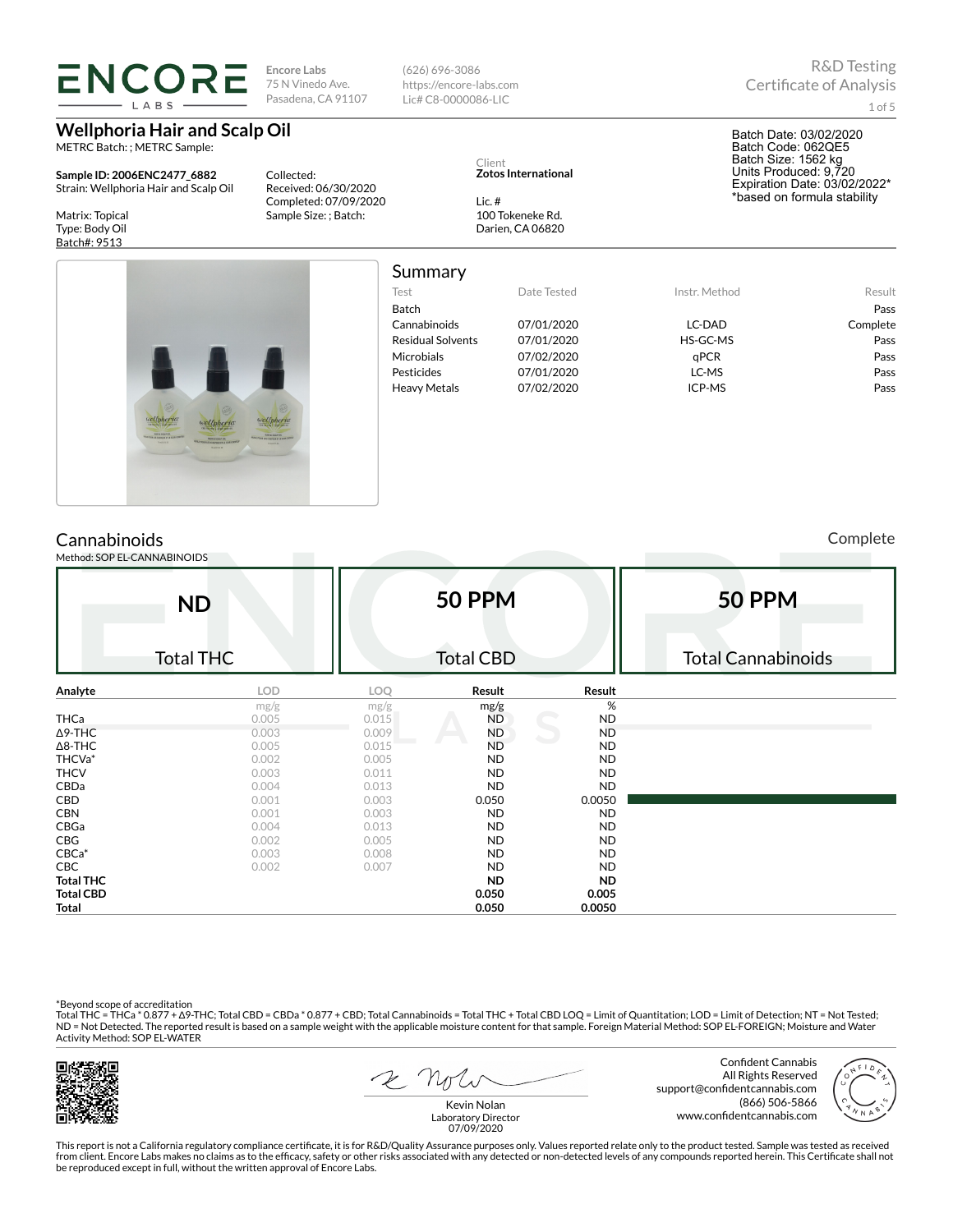**ENCORE Encore Labs** (626) 696-3086 75 N Vinedo Ave. https://encore-labs.com Pasadena, CA 91107 Lic# C8-0000086-LIC

Collected:

Received: 06/30/2020 Completed: 07/09/2020 Sample Size: ; Batch:

## **Wellphoria Hair and Scalp Oil**

METRC Batch: ; METRC Sample:

**Sample ID: 2006ENC2477\_6882** Strain: Wellphoria Hair and Scalp Oil

Matrix: Topical Type: Body Oil Batch#: 9513



Summary

### Test Date Tested Instr. Method Result Batch Pass Cannabinoids 07/01/2020 LC-DAD Complete Residual Solvents 07/01/2020 HS-GC-MS Pass Microbials 07/02/2020 qPCR Pass Pesticides 07/01/2020 LC-MS Pass Heavy Metals 07/02/2020 ICP-MS Pass

Complete

Method: SOP EL-CANNABINOIDS **ND** Total THC **50 PPM** Total CBD **50 PPM** Total Cannabinoids **Analyte LOD LOQ Result Result** mg/g  $mg/g$  mg/g  $mg/g$  % THCa 0.005 0.015 ND ND Δ9-THC 0.003 0.009 ND ND Δ8-THC 0.005 0.015 ND ND THCVa\* 0.002 0.005 ND ND THCV 0.003 0.011 ND ND CBDa 0.004 0.013 ND ND **CBD** 0.001 0.003 0.050 0.0050 0.0050 CBN 0.001 0.003 ND ND CBGa 0.004 0.013 ND ND **CBG** 0.002 0.005 ND ND CBCa\* 0.003 0.008 ND ND CBC 0.002 0.007 ND ND **Total THC ND ND Total CBD 0.050 0.005 Total 0.050 0.0050**

\*Beyond scope of accreditation<br>Total THC = THCa \* 0.877 + ∆9-THC; Total CBD = CBDa \* 0.877 + CBD; Total Cannabinoids = Total THC + Total CBD LOQ = Limit of Quantitation; LOD = Limit of Detection; NT = Not Tested; ND = Not Detected. The reported result is based on a sample weight with the applicable moisture content for that sample. Foreign Material Method: SOP EL-FOREIGN; Moisture and Water Activity Method: SOP EL-WATER



R Not

Confident Cannabis All Rights Reserved support@confidentcannabis.com (866) 506-5866 www.confidentcannabis.com



Kevin Nolan Laboratory Director 07/09/2020

This report is not a California regulatory compliance certificate, it is for R&D/Quality Assurance purposes only. Values reported relate only to the product tested. Sample was tested as received from client. Encore Labs makes no claims as to the efficacy, safety or other risks associated with any detected or non-detected levels of any compounds reported herein. This Certificate shall not be reproduced except in full, without the written approval of Encore Labs.

R&D Testing

Batch Date: 03/02/2020 Batch Code: 062QE5 Batch Size: 1562 kg Units Produced: 9,720 Expiration Date: 03/02/2022\* \*based on formula stability

1 of 5

Client **Zotos International**

Lic. # 100 Tokeneke Rd. Darien, CA 06820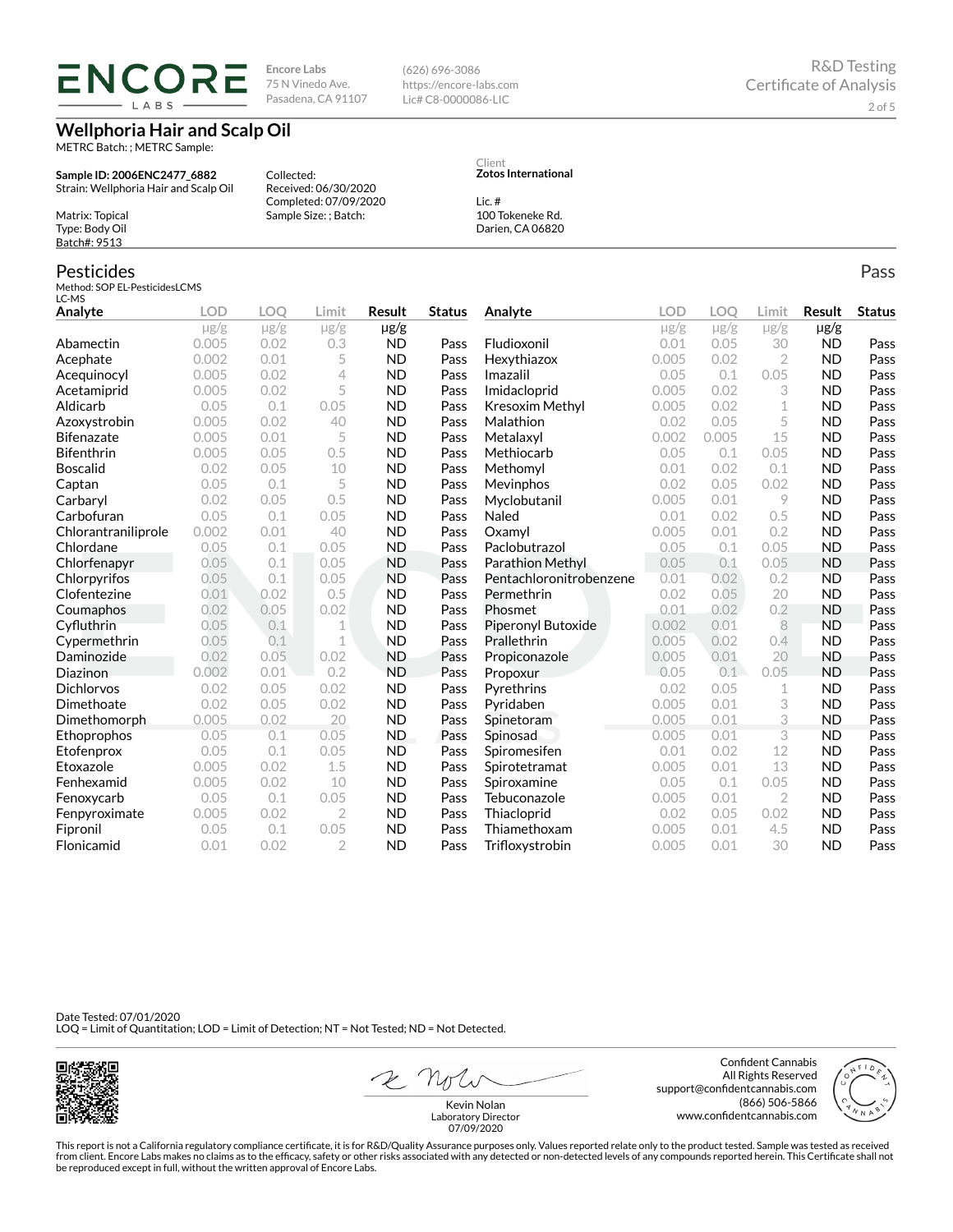# **ENCORE** LABS

**Encore Labs** 75 N Vinedo Ave. Pasadena, CA 91107

Received: 06/30/2020 Completed: 07/09/2020 Sample Size: ; Batch:

Collected:

**Wellphoria Hair and Scalp Oil**

METRC Batch: ; METRC Sample:

**Sample ID: 2006ENC2477\_6882** Strain: Wellphoria Hair and Scalp Oil

Matrix: Topical Type: Body Oil Batch#: 9513

#### Pesticides

Method: SOP EL-PesticidesLCMS LC-MS

| Analyte             | <b>LOD</b> | <b>LOO</b> | Limit          | <b>Result</b> | <b>Status</b> | Analyte                 | <b>LOD</b> | <b>LOO</b> | Limit     | Result    | <b>Status</b> |
|---------------------|------------|------------|----------------|---------------|---------------|-------------------------|------------|------------|-----------|-----------|---------------|
|                     | $\mu$ g/g  | $\mu$ g/g  | $\mu$ g/g      | µg/g          |               |                         | $\mu$ g/g  | $\mu$ g/g  | $\mu$ g/g | $\mu$ g/g |               |
| Abamectin           | 0.005      | 0.02       | 0.3            | <b>ND</b>     | Pass          | Fludioxonil             | 0.01       | 0.05       | 30        | <b>ND</b> | Pass          |
| Acephate            | 0.002      | 0.01       | 5              | <b>ND</b>     | Pass          | Hexythiazox             | 0.005      | 0.02       | 2         | <b>ND</b> | Pass          |
| Acequinocyl         | 0.005      | 0.02       | 4              | <b>ND</b>     | Pass          | Imazalil                | 0.05       | 0.1        | 0.05      | <b>ND</b> | Pass          |
| Acetamiprid         | 0.005      | 0.02       | 5              | <b>ND</b>     | Pass          | Imidacloprid            | 0.005      | 0.02       | 3         | <b>ND</b> | Pass          |
| Aldicarb            | 0.05       | 0.1        | 0.05           | <b>ND</b>     | Pass          | <b>Kresoxim Methyl</b>  | 0.005      | 0.02       | 1         | <b>ND</b> | Pass          |
| Azoxystrobin        | 0.005      | 0.02       | 40             | <b>ND</b>     | Pass          | Malathion               | 0.02       | 0.05       | 5         | <b>ND</b> | Pass          |
| <b>Bifenazate</b>   | 0.005      | 0.01       | 5              | <b>ND</b>     | Pass          | Metalaxyl               | 0.002      | 0.005      | 15        | <b>ND</b> | Pass          |
| Bifenthrin          | 0.005      | 0.05       | 0.5            | <b>ND</b>     | Pass          | Methiocarb              | 0.05       | 0.1        | 0.05      | <b>ND</b> | Pass          |
| <b>Boscalid</b>     | 0.02       | 0.05       | 10             | <b>ND</b>     | Pass          | Methomyl                | 0.01       | 0.02       | 0.1       | <b>ND</b> | Pass          |
| Captan              | 0.05       | 0.1        | 5              | <b>ND</b>     | Pass          | Mevinphos               | 0.02       | 0.05       | 0.02      | <b>ND</b> | Pass          |
| Carbaryl            | 0.02       | 0.05       | 0.5            | <b>ND</b>     | Pass          | Myclobutanil            | 0.005      | 0.01       | 9         | <b>ND</b> | Pass          |
| Carbofuran          | 0.05       | 0.1        | 0.05           | <b>ND</b>     | Pass          | Naled                   | 0.01       | 0.02       | 0.5       | <b>ND</b> | Pass          |
| Chlorantraniliprole | 0.002      | 0.01       | 40             | <b>ND</b>     | Pass          | Oxamvl                  | 0.005      | 0.01       | 0.2       | <b>ND</b> | Pass          |
| Chlordane           | 0.05       | 0.1        | 0.05           | <b>ND</b>     | Pass          | Paclobutrazol           | 0.05       | 0.1        | 0.05      | <b>ND</b> | Pass          |
| Chlorfenapyr        | 0.05       | 0.1        | 0.05           | <b>ND</b>     | Pass          | Parathion Methyl        | 0.05       | 0.1        | 0.05      | <b>ND</b> | Pass          |
| Chlorpyrifos        | 0.05       | 0.1        | 0.05           | <b>ND</b>     | Pass          | Pentachloronitrobenzene | 0.01       | 0.02       | 0.2       | <b>ND</b> | Pass          |
| Clofentezine        | 0.01       | 0.02       | 0.5            | <b>ND</b>     | Pass          | Permethrin              | 0.02       | 0.05       | 20        | <b>ND</b> | Pass          |
| Coumaphos           | 0.02       | 0.05       | 0.02           | <b>ND</b>     | Pass          | Phosmet                 | 0.01       | 0.02       | 0.2       | <b>ND</b> | Pass          |
| Cyfluthrin          | 0.05       | 0.1        | 1              | <b>ND</b>     | Pass          | Piperonyl Butoxide      | 0.002      | 0.01       | 8         | <b>ND</b> | Pass          |
| Cypermethrin        | 0.05       | 0.1        | 1              | <b>ND</b>     | Pass          | Prallethrin             | 0.005      | 0.02       | 0.4       | <b>ND</b> | Pass          |
| Daminozide          | 0.02       | 0.05       | 0.02           | <b>ND</b>     | Pass          | Propiconazole           | 0.005      | 0.01       | 20        | <b>ND</b> | Pass          |
| Diazinon            | 0.002      | 0.01       | 0.2            | <b>ND</b>     | Pass          | Propoxur                | 0.05       | 0.1        | 0.05      | <b>ND</b> | Pass          |
| <b>Dichlorvos</b>   | 0.02       | 0.05       | 0.02           | <b>ND</b>     | Pass          | Pyrethrins              | 0.02       | 0.05       | 1         | <b>ND</b> | Pass          |
| Dimethoate          | 0.02       | 0.05       | 0.02           | <b>ND</b>     | Pass          | Pyridaben               | 0.005      | 0.01       | 3         | <b>ND</b> | Pass          |
| Dimethomorph        | 0.005      | 0.02       | 20             | <b>ND</b>     | Pass          | Spinetoram              | 0.005      | 0.01       | 3         | <b>ND</b> | Pass          |
| Ethoprophos         | 0.05       | 0.1        | 0.05           | <b>ND</b>     | Pass          | Spinosad                | 0.005      | 0.01       | 3         | <b>ND</b> | Pass          |
| Etofenprox          | 0.05       | 0.1        | 0.05           | <b>ND</b>     | Pass          | Spiromesifen            | 0.01       | 0.02       | 12        | <b>ND</b> | Pass          |
| Etoxazole           | 0.005      | 0.02       | 1.5            | <b>ND</b>     | Pass          | Spirotetramat           | 0.005      | 0.01       | 13        | <b>ND</b> | Pass          |
| Fenhexamid          | 0.005      | 0.02       | 10             | <b>ND</b>     | Pass          | Spiroxamine             | 0.05       | 0.1        | 0.05      | <b>ND</b> | Pass          |
| Fenoxycarb          | 0.05       | 0.1        | 0.05           | <b>ND</b>     | Pass          | Tebuconazole            | 0.005      | 0.01       | 2         | <b>ND</b> | Pass          |
| Fenpyroximate       | 0.005      | 0.02       | $\overline{2}$ | <b>ND</b>     | Pass          | Thiacloprid             | 0.02       | 0.05       | 0.02      | <b>ND</b> | Pass          |
| Fipronil            | 0.05       | 0.1        | 0.05           | <b>ND</b>     | Pass          | Thiamethoxam            | 0.005      | 0.01       | 4.5       | <b>ND</b> | Pass          |
| Flonicamid          | 0.01       | 0.02       | $\overline{2}$ | <b>ND</b>     | Pass          | Trifloxystrobin         | 0.005      | 0.01       | 30        | <b>ND</b> | Pass          |

Date Tested: 07/01/2020 LOQ = Limit of Quantitation; LOD = Limit of Detection; NT = Not Tested; ND = Not Detected.



2 Note

Confident Cannabis All Rights Reserved support@confidentcannabis.com (866) 506-5866 www.confidentcannabis.com

This report is not a California regulatory compliance certificate, it is for R&D/Quality Assurance purposes only. Values reported relate only to the product tested. Sample was tested as received from client. Encore Labs makes no claims as to the efficacy, safety or other risks associated with any detected or non-detected levels of any compounds reported herein. This Certificate shall not<br>be reproduced except in fu

Client **Zotos International**

Lic. #

(626) 696-3086 https://encore-labs.com Lic# C8-0000086-LIC

> 100 Tokeneke Rd. Darien, CA 06820

> > Pass

Kevin Nolan Laboratory Director 07/09/2020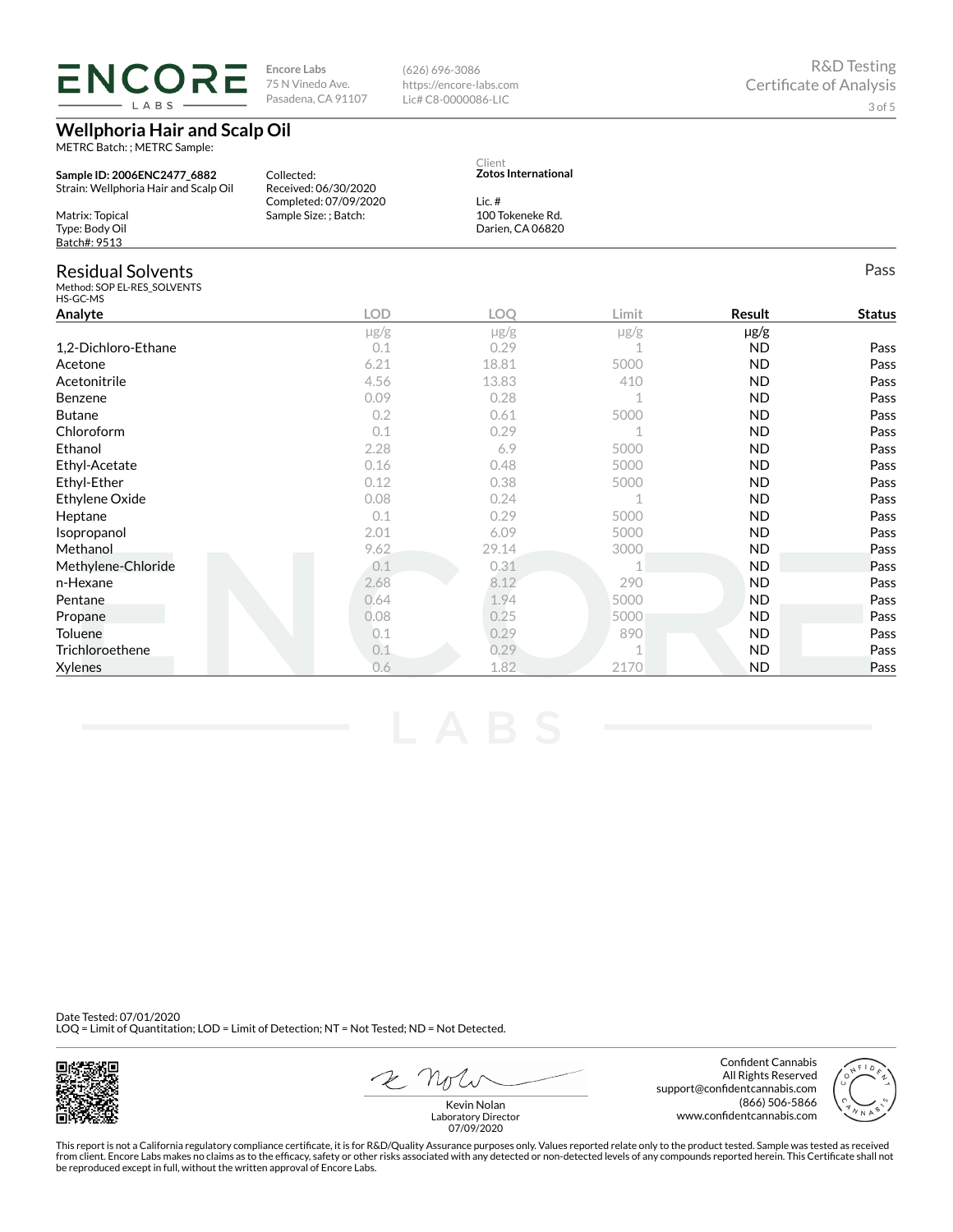**ENCORE** LABS

**Encore Labs** 75 N Vinedo Ave. Pasadena, CA 91107

**Wellphoria Hair and Scalp Oil**

METRC Batch: ; METRC Sample:

**Sample ID: 2006ENC2477\_6882** Strain: Wellphoria Hair and Scalp Oil Matrix: Topical Type: Body Oil Batch#: 9513 Collected: Received: 06/30/2020 Completed: 07/09/2020 Sample Size: ; Batch: **Zotos International** Lic. # 100 Tokeneke Rd. Darien, CA 06820 Residual Solvents Method: SOP EL-RES\_SOLVENTS HS-GC-MS Pass **Analyte LOD LOQ Limit Result Status** µg/g µg/g µg/g µg/g 1,2-Dichloro-Ethane 2010 0.1 0.29 1 ND Pass Acetone 6.21 18.81 5000 ND Pass Acetonitrile 4.56 13.83 410 ND Pass Benzene 0.09 0.28 1 ND Pass Butane 0.2 0.61 5000 ND Pass  $0.1$  0.29 1 ND Pass Ethanol 2.28 6.9 5000 ND Pass Ethyl-Acetate 0.16 0.48 5000 ND Pass Ethyl-Ether 0.12 0.38 5000 ND Pass Ethylene Oxide 0.08 0.24 1 ND Pass **Heptane 19 Contract Contract Contract Contract Contract Contract Contract Contract Contract Contract Contract Contract Pass** Isopropanol 2.01 6.09 5000 ND Pass Methanol 9.62 29.14 3000 ND Pass Methylene-Chloride 0.1 0.31 1 ND Pass n-Hexane 2.68 8.12 2.90 ND Pass **Pentane 2.1.94 5000 ND Pass Propane 2.08 5000 ND Pass** Toluene 0.1 0.29 890 ND Pass Trichloroethene 0.1 0.29 1 ND Pass Xylenes 0.6 1.82 2170 ND Pass

Client

(626) 696-3086 https://encore-labs.com Lic# C8-0000086-LIC

Date Tested: 07/01/2020 LOQ = Limit of Quantitation; LOD = Limit of Detection; NT = Not Tested; ND = Not Detected.

Laboratory Director 07/09/2020

This report is not a California regulatory compliance certificate, it is for R&D/Quality Assurance purposes only. Values reported relate only to the product tested. Sample was tested as received from client. Encore Labs makes no claims as to the efficacy, safety or other risks associated with any detected or non-detected levels of any compounds reported herein. This Certificate shall not be reproduced except in full, without the written approval of Encore Labs.

All Rights Reserved support@confidentcannabis.com (866) 506-5866 www.confidentcannabis.com

Confident Cannabis

2 Note Kevin Nolan

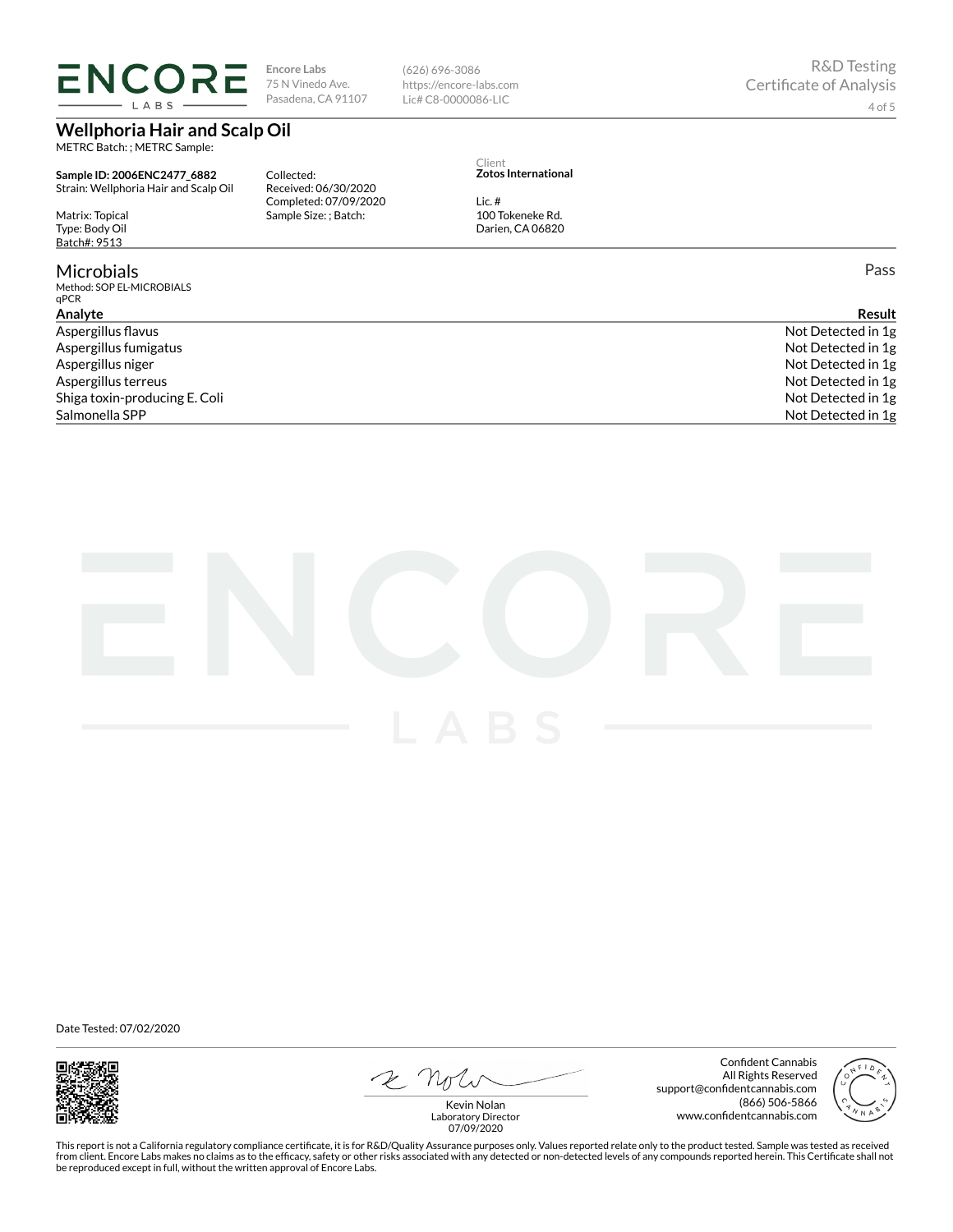# **ENCORE** LABS

**Encore Labs** 75 N Vinedo Ave. Pasadena, CA 91107

**Wellphoria Hair and Scalp Oil**

METRC Batch: ; METRC Sample:

**Sample ID: 2006ENC2477\_6882** Strain: Wellphoria Hair and Scalp Oil

Matrix: Topical Type: Body Oil Batch#: 9513

### **Microbials**

Method: SOP EL-MICROBIALS qPCR

Collected: Received: 06/30/2020 Completed: 07/09/2020 Sample Size: ; Batch:

(626) 696-3086 https://encore-labs.com Lic# C8-0000086-LIC

Client **Zotos International**

Lic. # 100 Tokeneke Rd. Darien, CA 06820

Pass

| Analvte                       | Result             |
|-------------------------------|--------------------|
| Aspergillus flavus            | Not Detected in 1g |
| Aspergillus fumigatus         | Not Detected in 1g |
| Aspergillus niger             | Not Detected in 1g |
| Aspergillus terreus           | Not Detected in 1g |
| Shiga toxin-producing E. Coli | Not Detected in 1g |
| Salmonella SPP                | Not Detected in 1g |
|                               |                    |



Date Tested: 07/02/2020



2 Note

Confident Cannabis All Rights Reserved support@confidentcannabis.com (866) 506-5866 www.confidentcannabis.com



Kevin Nolan Laboratory Director 07/09/2020

This report is not a California regulatory compliance certificate, it is for R&D/Quality Assurance purposes only. Values reported relate only to the product tested. Sample was tested as received from client. Encore Labs makes no claims as to the efficacy, safety or other risks associated with any detected or non-detected levels of any compounds reported herein. This Certificate shall not<br>be reproduced except in fu